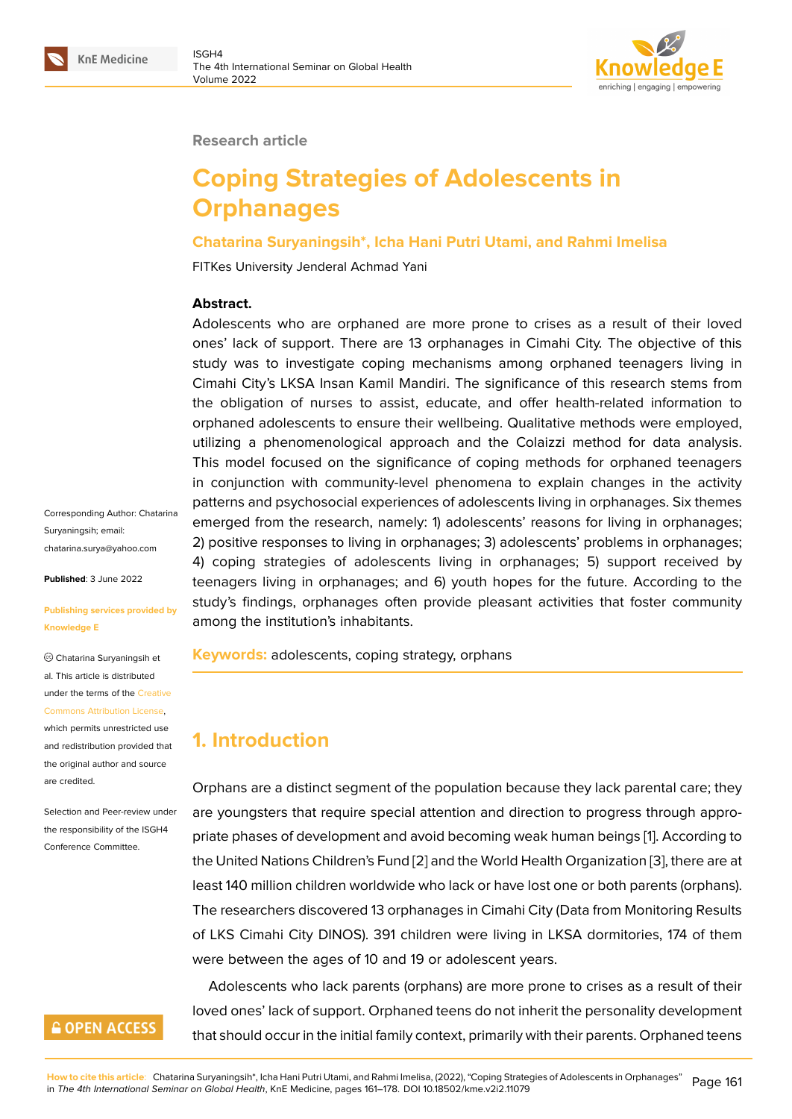

#### **Research article**

# **Coping Strategies of Adolescents in Orphanages**

#### **Chatarina Suryaningsih\*, Icha Hani Putri Utami, and Rahmi Imelisa**

FITKes University Jenderal Achmad Yani

#### **Abstract.**

Adolescents who are orphaned are more prone to crises as a result of their loved ones' lack of support. There are 13 orphanages in Cimahi City. The objective of this study was to investigate coping mechanisms among orphaned teenagers living in Cimahi City's LKSA Insan Kamil Mandiri. The significance of this research stems from the obligation of nurses to assist, educate, and offer health-related information to orphaned adolescents to ensure their wellbeing. Qualitative methods were employed, utilizing a phenomenological approach and the Colaizzi method for data analysis. This model focused on the significance of coping methods for orphaned teenagers in conjunction with community-level phenomena to explain changes in the activity patterns and psychosocial experiences of adolescents living in orphanages. Six themes emerged from the research, namely: 1) adolescents' reasons for living in orphanages; 2) positive responses to living in orphanages; 3) adolescents' problems in orphanages; 4) coping strategies of adolescents living in orphanages; 5) support received by teenagers living in orphanages; and 6) youth hopes for the future. According to the study's findings, orphanages often provide pleasant activities that foster community among the institution's inhabitants.

**Keywords:** adolescents, coping strategy, orphans

# **1. Introduction**

Orphans are a distinct segment of the population because they lack parental care; they are youngsters that require special attention and direction to progress through appropriate phases of development and avoid becoming weak human beings [1]. According to the United Nations Children's Fund [2] and the World Health Organization [3], there are at least 140 million children worldwide who lack or have lost one or both parents (orphans). The researchers discovered 13 orphanages in Cimahi City (Data from Mo[n](#page-16-0)itoring Results of LKS Cimahi City DINOS). 391 ch[ild](#page-16-1)ren were living in LKSA dormitori[es,](#page-16-2) 174 of them were between the ages of 10 and 19 or adolescent years.

Adolescents who lack parents (orphans) are more prone to crises as a result of their loved ones' lack of support. Orphaned teens do not inherit the personality development that should occur in the initial family context, primarily with their parents. Orphaned teens

**GOPEN ACCESS** 

Corresponding Author: Chatarina Suryaningsih; email: chatarina.surya@yahoo.com

**Published**: 3 June 2022

#### **[Publishing services provide](mailto:chatarina.surya@yahoo.com)d by Knowledge E**

Chatarina Suryaningsih et al. This article is distributed under the terms of the Creative Commons Attribution License,

which permits unrestricted use and redistribution provided that the original author and [source](https://creativecommons.org/licenses/by/4.0/) [are credited.](https://creativecommons.org/licenses/by/4.0/)

Selection and Peer-review under the responsibility of the ISGH4 Conference Committee.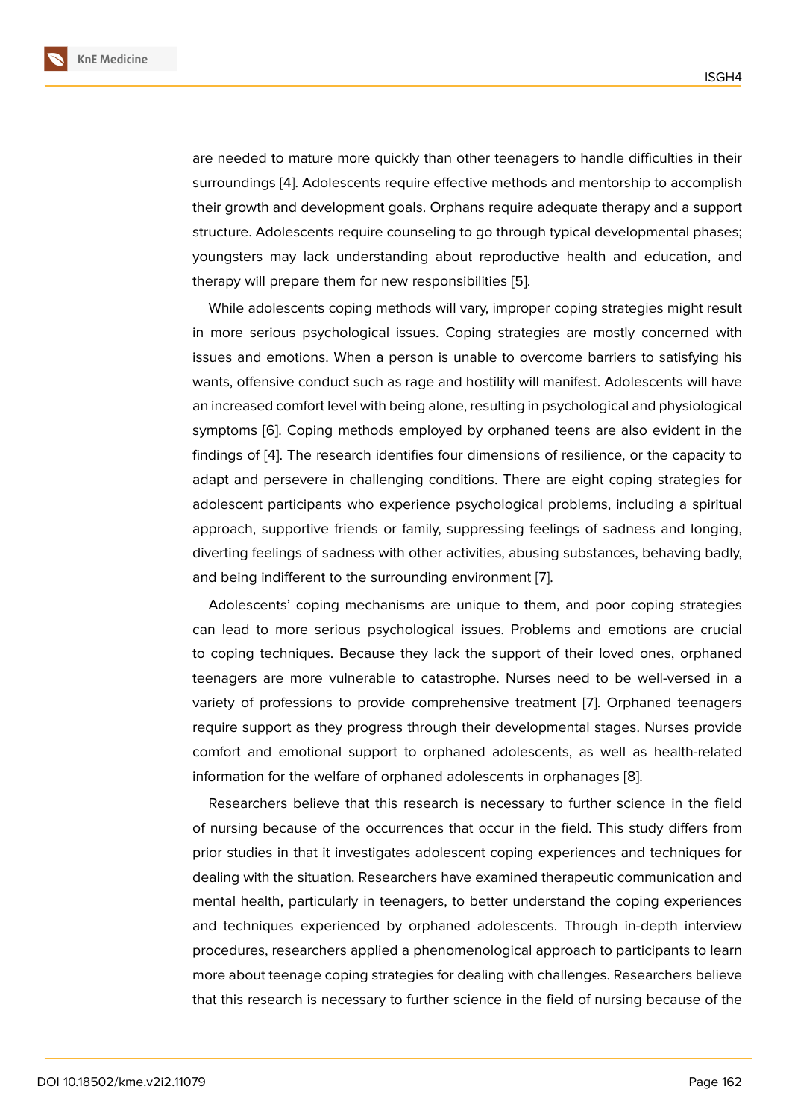are needed to mature more quickly than other teenagers to handle difficulties in their surroundings [4]. Adolescents require effective methods and mentorship to accomplish their growth and development goals. Orphans require adequate therapy and a support structure. Adolescents require counseling to go through typical developmental phases; youngsters m[ay](#page-16-3) lack understanding about reproductive health and education, and therapy will prepare them for new responsibilities [5].

While adolescents coping methods will vary, improper coping strategies might result in more serious psychological issues. Coping strategies are mostly concerned with issues and emotions. When a person is unable t[o o](#page-16-4)vercome barriers to satisfying his wants, offensive conduct such as rage and hostility will manifest. Adolescents will have an increased comfort level with being alone, resulting in psychological and physiological symptoms [6]. Coping methods employed by orphaned teens are also evident in the findings of [4]. The research identifies four dimensions of resilience, or the capacity to adapt and persevere in challenging conditions. There are eight coping strategies for adolescent [p](#page-16-5)articipants who experience psychological problems, including a spiritual approach, [su](#page-16-3)pportive friends or family, suppressing feelings of sadness and longing, diverting feelings of sadness with other activities, abusing substances, behaving badly, and being indifferent to the surrounding environment [7].

Adolescents' coping mechanisms are unique to them, and poor coping strategies can lead to more serious psychological issues. Problems and emotions are crucial to coping techniques. Because they lack the suppor[t](#page-16-6) of their loved ones, orphaned teenagers are more vulnerable to catastrophe. Nurses need to be well-versed in a variety of professions to provide comprehensive treatment [7]. Orphaned teenagers require support as they progress through their developmental stages. Nurses provide comfort and emotional support to orphaned adolescents, as well as health-related information for the welfare of orphaned adolescents in orpha[na](#page-16-6)ges [8].

Researchers believe that this research is necessary to further science in the field of nursing because of the occurrences that occur in the field. This study differs from prior studies in that it investigates adolescent coping experiences [an](#page-16-7)d techniques for dealing with the situation. Researchers have examined therapeutic communication and mental health, particularly in teenagers, to better understand the coping experiences and techniques experienced by orphaned adolescents. Through in-depth interview procedures, researchers applied a phenomenological approach to participants to learn more about teenage coping strategies for dealing with challenges. Researchers believe that this research is necessary to further science in the field of nursing because of the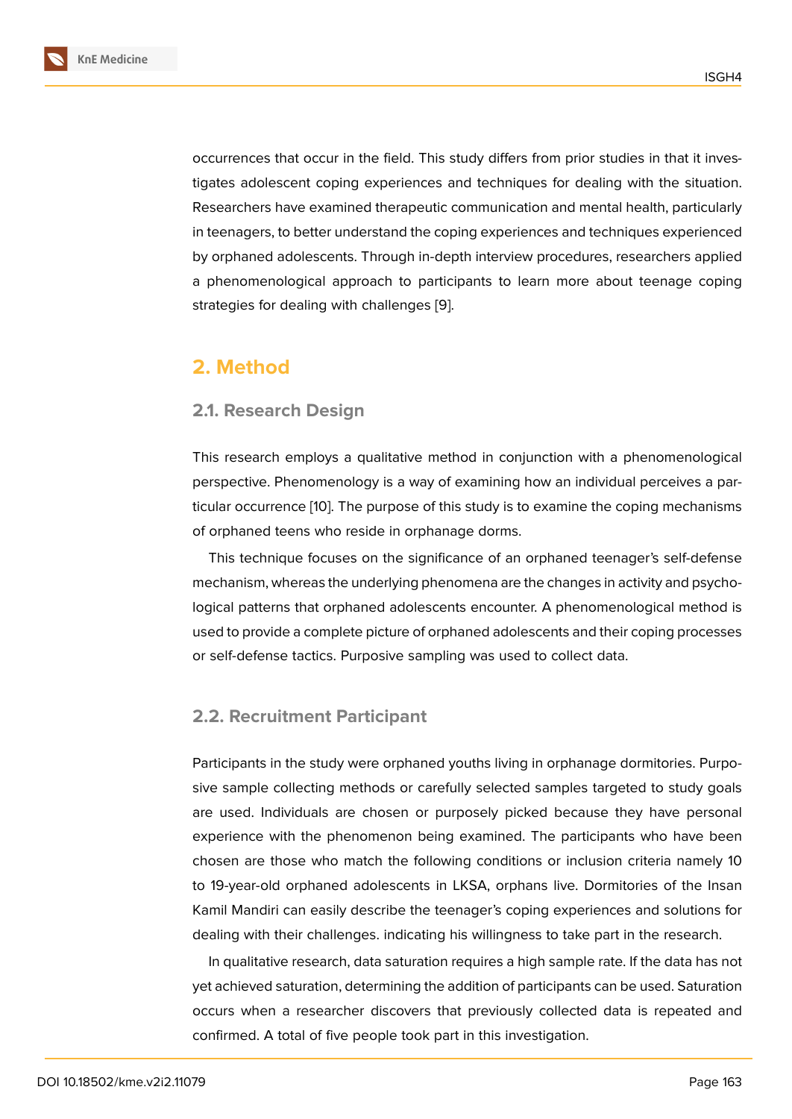occurrences that occur in the field. This study differs from prior studies in that it investigates adolescent coping experiences and techniques for dealing with the situation. Researchers have examined therapeutic communication and mental health, particularly in teenagers, to better understand the coping experiences and techniques experienced by orphaned adolescents. Through in-depth interview procedures, researchers applied a phenomenological approach to participants to learn more about teenage coping strategies for dealing with challenges [9].

# **2. Method**

## **2.1. Research Design**

This research employs a qualitative method in conjunction with a phenomenological perspective. Phenomenology is a way of examining how an individual perceives a particular occurrence [10]. The purpose of this study is to examine the coping mechanisms of orphaned teens who reside in orphanage dorms.

This technique focuses on the significance of an orphaned teenager's self-defense mechanism, where[as](#page-16-8) the underlying phenomena are the changes in activity and psychological patterns that orphaned adolescents encounter. A phenomenological method is used to provide a complete picture of orphaned adolescents and their coping processes or self-defense tactics. Purposive sampling was used to collect data.

## **2.2. Recruitment Participant**

Participants in the study were orphaned youths living in orphanage dormitories. Purposive sample collecting methods or carefully selected samples targeted to study goals are used. Individuals are chosen or purposely picked because they have personal experience with the phenomenon being examined. The participants who have been chosen are those who match the following conditions or inclusion criteria namely 10 to 19-year-old orphaned adolescents in LKSA, orphans live. Dormitories of the Insan Kamil Mandiri can easily describe the teenager's coping experiences and solutions for dealing with their challenges. indicating his willingness to take part in the research.

In qualitative research, data saturation requires a high sample rate. If the data has not yet achieved saturation, determining the addition of participants can be used. Saturation occurs when a researcher discovers that previously collected data is repeated and confirmed. A total of five people took part in this investigation.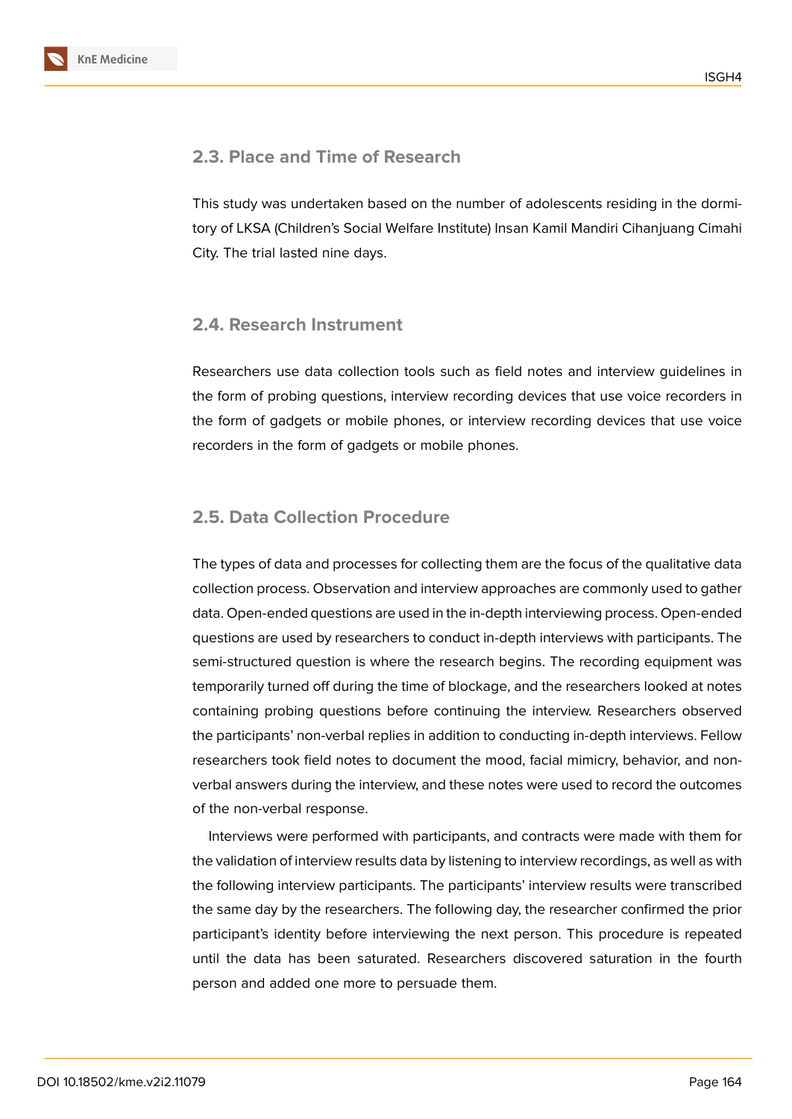

## **2.3. Place and Time of Research**

This study was undertaken based on the number of adolescents residing in the dormitory of LKSA (Children's Social Welfare Institute) Insan Kamil Mandiri Cihanjuang Cimahi City. The trial lasted nine days.

## **2.4. Research Instrument**

Researchers use data collection tools such as field notes and interview guidelines in the form of probing questions, interview recording devices that use voice recorders in the form of gadgets or mobile phones, or interview recording devices that use voice recorders in the form of gadgets or mobile phones.

## **2.5. Data Collection Procedure**

The types of data and processes for collecting them are the focus of the qualitative data collection process. Observation and interview approaches are commonly used to gather data. Open-ended questions are used in the in-depth interviewing process. Open-ended questions are used by researchers to conduct in-depth interviews with participants. The semi-structured question is where the research begins. The recording equipment was temporarily turned off during the time of blockage, and the researchers looked at notes containing probing questions before continuing the interview. Researchers observed the participants' non-verbal replies in addition to conducting in-depth interviews. Fellow researchers took field notes to document the mood, facial mimicry, behavior, and nonverbal answers during the interview, and these notes were used to record the outcomes of the non-verbal response.

Interviews were performed with participants, and contracts were made with them for the validation of interview results data by listening to interview recordings, as well as with the following interview participants. The participants' interview results were transcribed the same day by the researchers. The following day, the researcher confirmed the prior participant's identity before interviewing the next person. This procedure is repeated until the data has been saturated. Researchers discovered saturation in the fourth person and added one more to persuade them.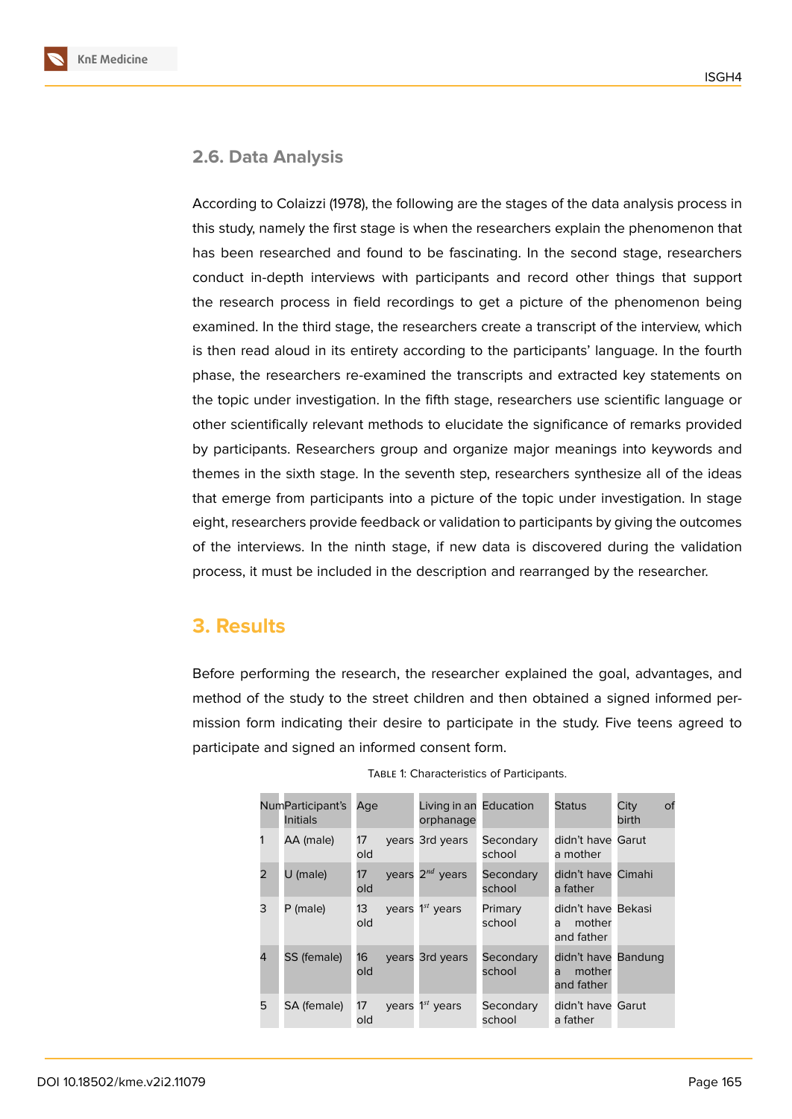## **2.6. Data Analysis**

According to Colaizzi (1978), the following are the stages of the data analysis process in this study, namely the first stage is when the researchers explain the phenomenon that has been researched and found to be fascinating. In the second stage, researchers conduct in-depth interviews with participants and record other things that support the research process in field recordings to get a picture of the phenomenon being examined. In the third stage, the researchers create a transcript of the interview, which is then read aloud in its entirety according to the participants' language. In the fourth phase, the researchers re-examined the transcripts and extracted key statements on the topic under investigation. In the fifth stage, researchers use scientific language or other scientifically relevant methods to elucidate the significance of remarks provided by participants. Researchers group and organize major meanings into keywords and themes in the sixth stage. In the seventh step, researchers synthesize all of the ideas that emerge from participants into a picture of the topic under investigation. In stage eight, researchers provide feedback or validation to participants by giving the outcomes of the interviews. In the ninth stage, if new data is discovered during the validation process, it must be included in the description and rearranged by the researcher.

# **3. Results**

Before performing the research, the researcher explained the goal, advantages, and method of the study to the street children and then obtained a signed informed permission form indicating their desire to participate in the study. Five teens agreed to participate and signed an informed consent form.

|                | NumParticipant's<br>Initials | Age       | Living in an Education<br>orphanage |                     | <b>Status</b>                                    | City<br>birth | of |
|----------------|------------------------------|-----------|-------------------------------------|---------------------|--------------------------------------------------|---------------|----|
| 1              | AA (male)                    | 17<br>old | years 3rd years                     | Secondary<br>school | didn't have Garut<br>a mother                    |               |    |
| 2              | U (male)                     | 17<br>old | years $2^{nd}$ years                | Secondary<br>school | didn't have Cimahi<br>a father                   |               |    |
| 3              | P (male)                     | 13<br>old | vears $1^{st}$ years                | Primary<br>school   | didn't have Bekasi<br>mother<br>a<br>and father  |               |    |
| $\overline{4}$ | SS (female)                  | 16<br>old | years 3rd years                     | Secondary<br>school | didn't have Bandung<br>mother<br>a<br>and father |               |    |
| 5              | SA (female)                  | 17<br>old | years 1st years                     | Secondary<br>school | didn't have Garut<br>a father                    |               |    |

Table 1: Characteristics of Participants.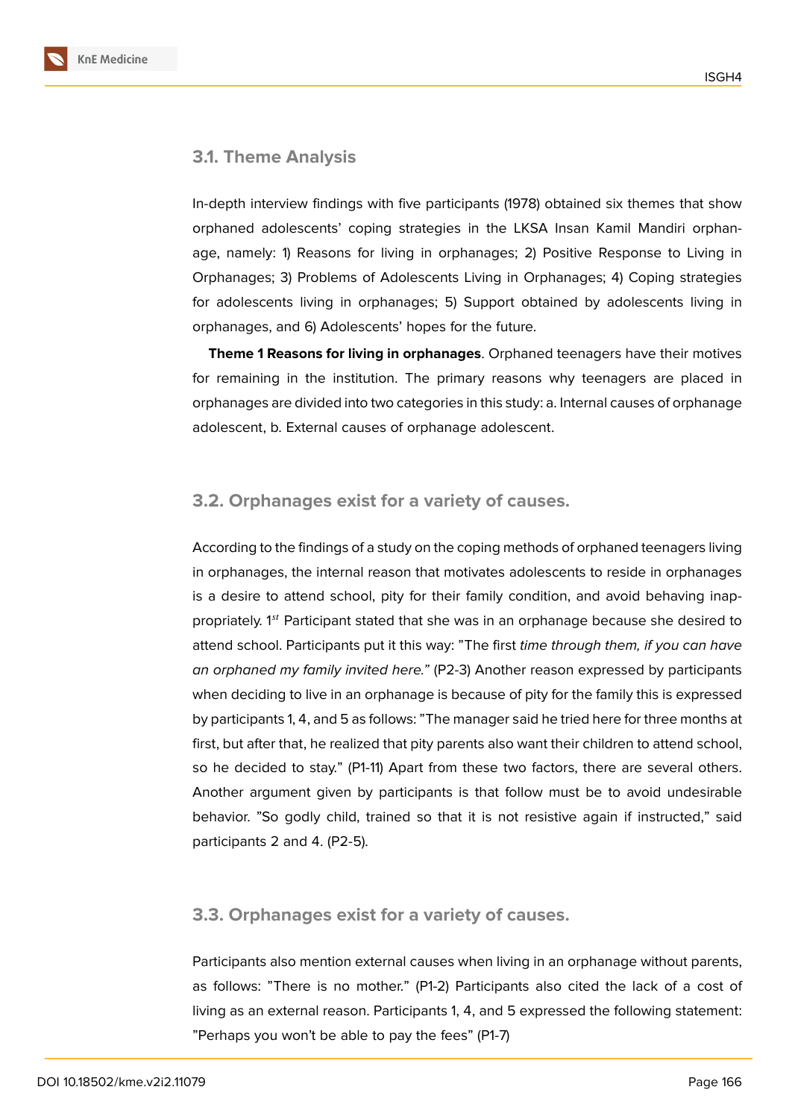#### **3.1. Theme Analysis**

In-depth interview findings with five participants (1978) obtained six themes that show orphaned adolescents' coping strategies in the LKSA Insan Kamil Mandiri orphanage, namely: 1) Reasons for living in orphanages; 2) Positive Response to Living in Orphanages; 3) Problems of Adolescents Living in Orphanages; 4) Coping strategies for adolescents living in orphanages; 5) Support obtained by adolescents living in orphanages, and 6) Adolescents' hopes for the future.

**Theme 1 Reasons for living in orphanages**. Orphaned teenagers have their motives for remaining in the institution. The primary reasons why teenagers are placed in orphanages are divided into two categories in this study: a. Internal causes of orphanage adolescent, b. External causes of orphanage adolescent.

## **3.2. Orphanages exist for a variety of causes.**

According to the findings of a study on the coping methods of orphaned teenagers living in orphanages, the internal reason that motivates adolescents to reside in orphanages is a desire to attend school, pity for their family condition, and avoid behaving inappropriately.  $1^{st}$  Participant stated that she was in an orphanage because she desired to attend school. Participants put it this way: "The first *time through them, if you can have an orphaned my family invited here."* (P2-3) Another reason expressed by participants when deciding to live in an orphanage is because of pity for the family this is expressed by participants 1, 4, and 5 as follows: "The manager said he tried here for three months at first, but after that, he realized that pity parents also want their children to attend school, so he decided to stay." (P1-11) Apart from these two factors, there are several others. Another argument given by participants is that follow must be to avoid undesirable behavior. "So godly child, trained so that it is not resistive again if instructed," said participants 2 and 4. (P2-5).

#### **3.3. Orphanages exist for a variety of causes.**

Participants also mention external causes when living in an orphanage without parents, as follows: "There is no mother." (P1-2) Participants also cited the lack of a cost of living as an external reason. Participants 1, 4, and 5 expressed the following statement: "Perhaps you won't be able to pay the fees" (P1-7)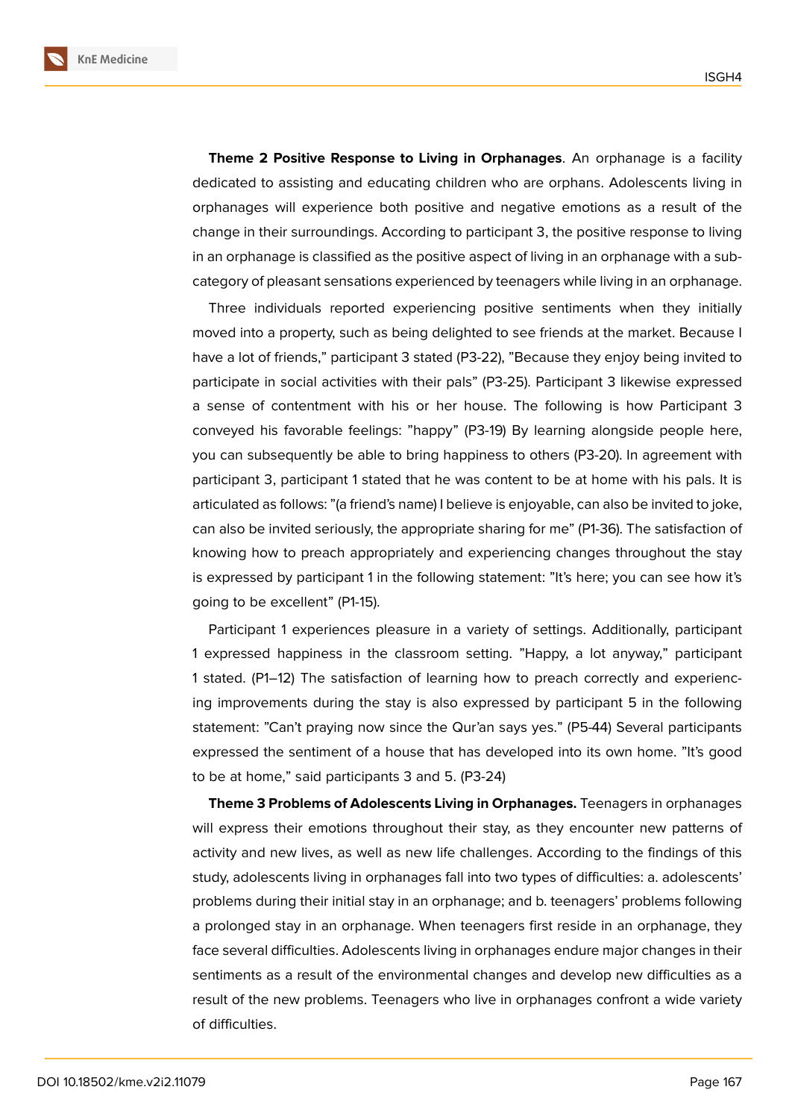

**Theme 2 Positive Response to Living in Orphanages**. An orphanage is a facility dedicated to assisting and educating children who are orphans. Adolescents living in orphanages will experience both positive and negative emotions as a result of the change in their surroundings. According to participant 3, the positive response to living in an orphanage is classified as the positive aspect of living in an orphanage with a subcategory of pleasant sensations experienced by teenagers while living in an orphanage.

Three individuals reported experiencing positive sentiments when they initially moved into a property, such as being delighted to see friends at the market. Because I have a lot of friends," participant 3 stated (P3-22), "Because they enjoy being invited to participate in social activities with their pals" (P3-25). Participant 3 likewise expressed a sense of contentment with his or her house. The following is how Participant 3 conveyed his favorable feelings: "happy" (P3-19) By learning alongside people here, you can subsequently be able to bring happiness to others (P3-20). In agreement with participant 3, participant 1 stated that he was content to be at home with his pals. It is articulated as follows: "(a friend's name) I believe is enjoyable, can also be invited to joke, can also be invited seriously, the appropriate sharing for me" (P1-36). The satisfaction of knowing how to preach appropriately and experiencing changes throughout the stay is expressed by participant 1 in the following statement: "It's here; you can see how it's going to be excellent" (P1-15).

Participant 1 experiences pleasure in a variety of settings. Additionally, participant 1 expressed happiness in the classroom setting. "Happy, a lot anyway," participant 1 stated. (P1–12) The satisfaction of learning how to preach correctly and experiencing improvements during the stay is also expressed by participant 5 in the following statement: "Can't praying now since the Qur'an says yes." (P5-44) Several participants expressed the sentiment of a house that has developed into its own home. "It's good to be at home," said participants 3 and 5. (P3-24)

**Theme 3 Problems of Adolescents Living in Orphanages.** Teenagers in orphanages will express their emotions throughout their stay, as they encounter new patterns of activity and new lives, as well as new life challenges. According to the findings of this study, adolescents living in orphanages fall into two types of difficulties: a. adolescents' problems during their initial stay in an orphanage; and b. teenagers' problems following a prolonged stay in an orphanage. When teenagers first reside in an orphanage, they face several difficulties. Adolescents living in orphanages endure major changes in their sentiments as a result of the environmental changes and develop new difficulties as a result of the new problems. Teenagers who live in orphanages confront a wide variety of difficulties.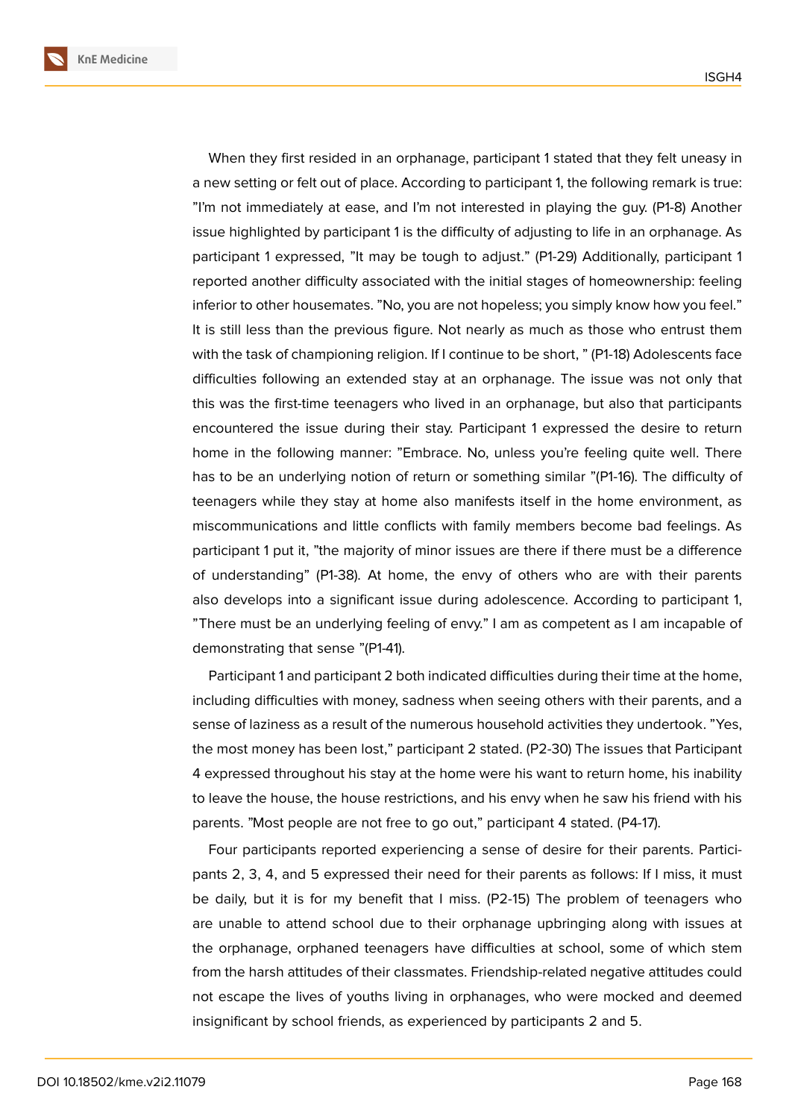When they first resided in an orphanage, participant 1 stated that they felt uneasy in a new setting or felt out of place. According to participant 1, the following remark is true: "I'm not immediately at ease, and I'm not interested in playing the guy. (P1-8) Another issue highlighted by participant 1 is the difficulty of adjusting to life in an orphanage. As participant 1 expressed, "It may be tough to adjust." (P1-29) Additionally, participant 1 reported another difficulty associated with the initial stages of homeownership: feeling inferior to other housemates. "No, you are not hopeless; you simply know how you feel." It is still less than the previous figure. Not nearly as much as those who entrust them with the task of championing religion. If I continue to be short, " (P1-18) Adolescents face difficulties following an extended stay at an orphanage. The issue was not only that this was the first-time teenagers who lived in an orphanage, but also that participants encountered the issue during their stay. Participant 1 expressed the desire to return home in the following manner: "Embrace. No, unless you're feeling quite well. There has to be an underlying notion of return or something similar "(P1-16). The difficulty of teenagers while they stay at home also manifests itself in the home environment, as miscommunications and little conflicts with family members become bad feelings. As participant 1 put it, "the majority of minor issues are there if there must be a difference of understanding" (P1-38). At home, the envy of others who are with their parents also develops into a significant issue during adolescence. According to participant 1, "There must be an underlying feeling of envy." I am as competent as I am incapable of demonstrating that sense "(P1-41).

Participant 1 and participant 2 both indicated difficulties during their time at the home, including difficulties with money, sadness when seeing others with their parents, and a sense of laziness as a result of the numerous household activities they undertook. "Yes, the most money has been lost," participant 2 stated. (P2-30) The issues that Participant 4 expressed throughout his stay at the home were his want to return home, his inability to leave the house, the house restrictions, and his envy when he saw his friend with his parents. "Most people are not free to go out," participant 4 stated. (P4-17).

Four participants reported experiencing a sense of desire for their parents. Participants 2, 3, 4, and 5 expressed their need for their parents as follows: If I miss, it must be daily, but it is for my benefit that I miss. (P2-15) The problem of teenagers who are unable to attend school due to their orphanage upbringing along with issues at the orphanage, orphaned teenagers have difficulties at school, some of which stem from the harsh attitudes of their classmates. Friendship-related negative attitudes could not escape the lives of youths living in orphanages, who were mocked and deemed insignificant by school friends, as experienced by participants 2 and 5.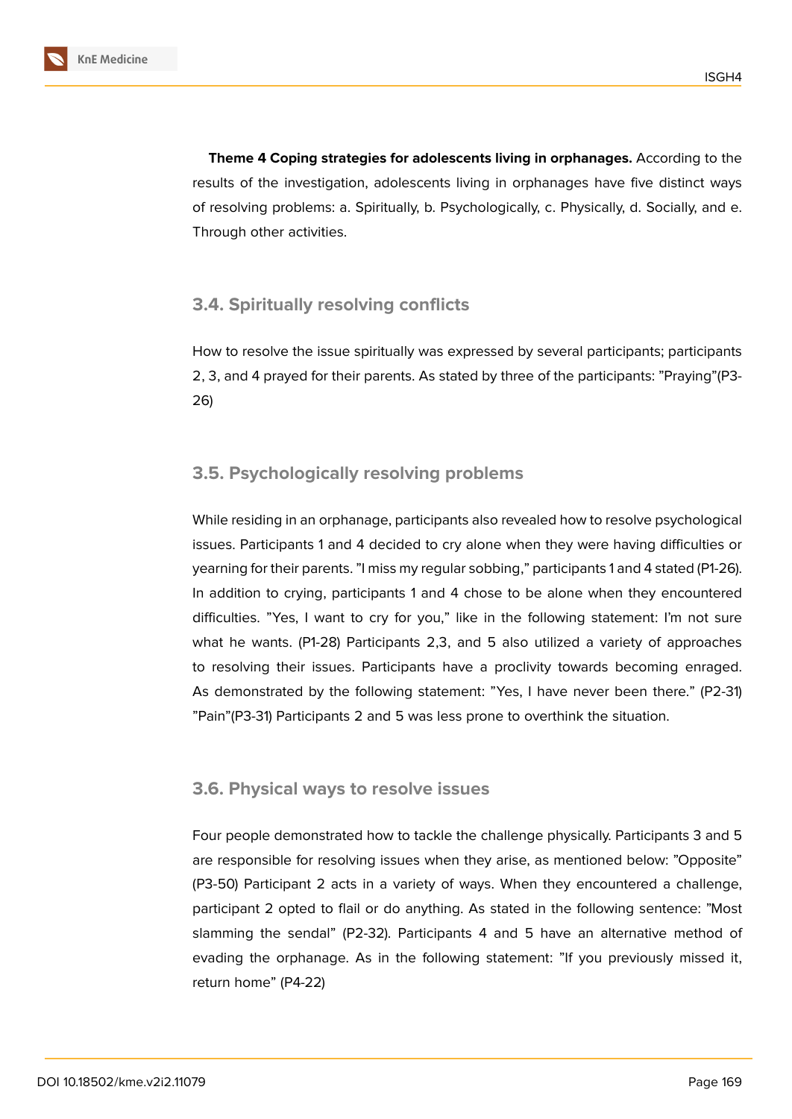

**Theme 4 Coping strategies for adolescents living in orphanages.** According to the results of the investigation, adolescents living in orphanages have five distinct ways of resolving problems: a. Spiritually, b. Psychologically, c. Physically, d. Socially, and e. Through other activities.

## **3.4. Spiritually resolving conflicts**

How to resolve the issue spiritually was expressed by several participants; participants 2, 3, and 4 prayed for their parents. As stated by three of the participants: "Praying"(P3- 26)

## **3.5. Psychologically resolving problems**

While residing in an orphanage, participants also revealed how to resolve psychological issues. Participants 1 and 4 decided to cry alone when they were having difficulties or yearning for their parents. "I miss my regular sobbing," participants 1 and 4 stated (P1-26). In addition to crying, participants 1 and 4 chose to be alone when they encountered difficulties. "Yes, I want to cry for you," like in the following statement: I'm not sure what he wants. (P1-28) Participants 2,3, and 5 also utilized a variety of approaches to resolving their issues. Participants have a proclivity towards becoming enraged. As demonstrated by the following statement: "Yes, I have never been there." (P2-31) "Pain"(P3-31) Participants 2 and 5 was less prone to overthink the situation.

#### **3.6. Physical ways to resolve issues**

Four people demonstrated how to tackle the challenge physically. Participants 3 and 5 are responsible for resolving issues when they arise, as mentioned below: "Opposite" (P3-50) Participant 2 acts in a variety of ways. When they encountered a challenge, participant 2 opted to flail or do anything. As stated in the following sentence: "Most slamming the sendal" (P2-32). Participants 4 and 5 have an alternative method of evading the orphanage. As in the following statement: "If you previously missed it, return home" (P4-22)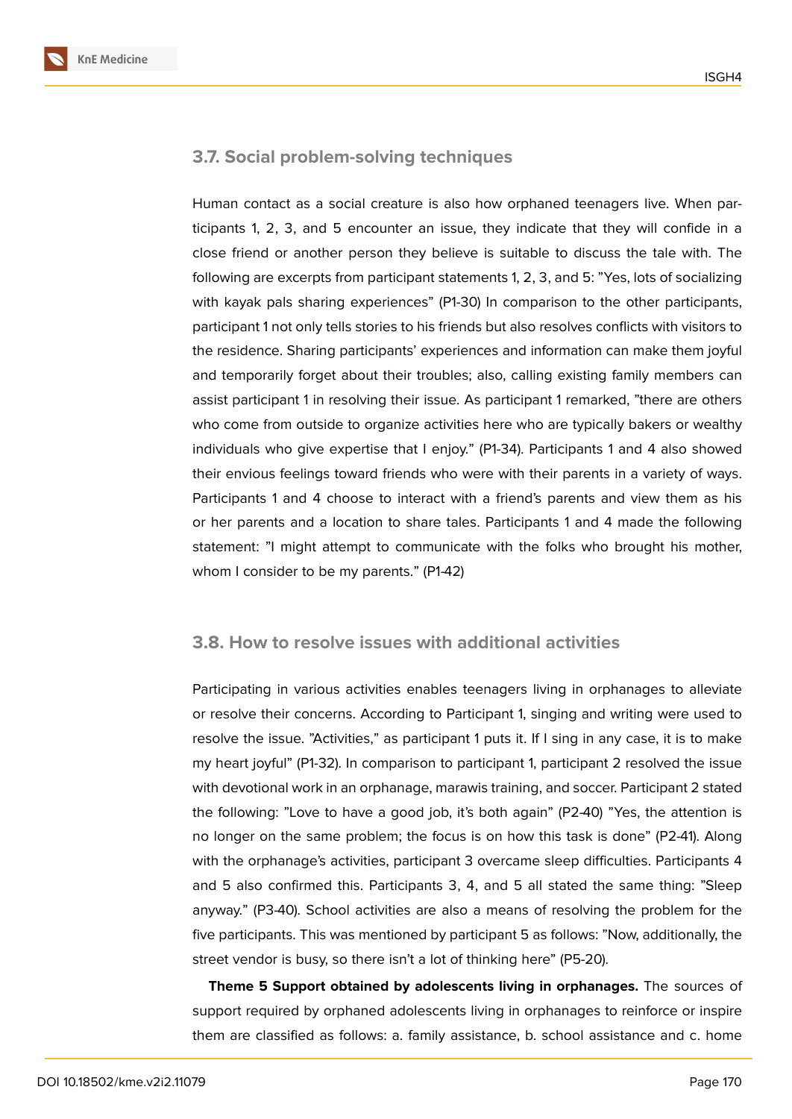

## **3.7. Social problem-solving techniques**

Human contact as a social creature is also how orphaned teenagers live. When participants 1, 2, 3, and 5 encounter an issue, they indicate that they will confide in a close friend or another person they believe is suitable to discuss the tale with. The following are excerpts from participant statements 1, 2, 3, and 5: "Yes, lots of socializing with kayak pals sharing experiences" (P1-30) In comparison to the other participants, participant 1 not only tells stories to his friends but also resolves conflicts with visitors to the residence. Sharing participants' experiences and information can make them joyful and temporarily forget about their troubles; also, calling existing family members can assist participant 1 in resolving their issue. As participant 1 remarked, "there are others who come from outside to organize activities here who are typically bakers or wealthy individuals who give expertise that I enjoy." (P1-34). Participants 1 and 4 also showed their envious feelings toward friends who were with their parents in a variety of ways. Participants 1 and 4 choose to interact with a friend's parents and view them as his or her parents and a location to share tales. Participants 1 and 4 made the following statement: "I might attempt to communicate with the folks who brought his mother, whom I consider to be my parents." (P1-42)

#### **3.8. How to resolve issues with additional activities**

Participating in various activities enables teenagers living in orphanages to alleviate or resolve their concerns. According to Participant 1, singing and writing were used to resolve the issue. "Activities," as participant 1 puts it. If I sing in any case, it is to make my heart joyful" (P1-32). In comparison to participant 1, participant 2 resolved the issue with devotional work in an orphanage, marawis training, and soccer. Participant 2 stated the following: "Love to have a good job, it's both again" (P2-40) "Yes, the attention is no longer on the same problem; the focus is on how this task is done" (P2-41). Along with the orphanage's activities, participant 3 overcame sleep difficulties. Participants 4 and 5 also confirmed this. Participants 3, 4, and 5 all stated the same thing: "Sleep anyway." (P3-40). School activities are also a means of resolving the problem for the five participants. This was mentioned by participant 5 as follows: "Now, additionally, the street vendor is busy, so there isn't a lot of thinking here" (P5-20).

**Theme 5 Support obtained by adolescents living in orphanages.** The sources of support required by orphaned adolescents living in orphanages to reinforce or inspire them are classified as follows: a. family assistance, b. school assistance and c. home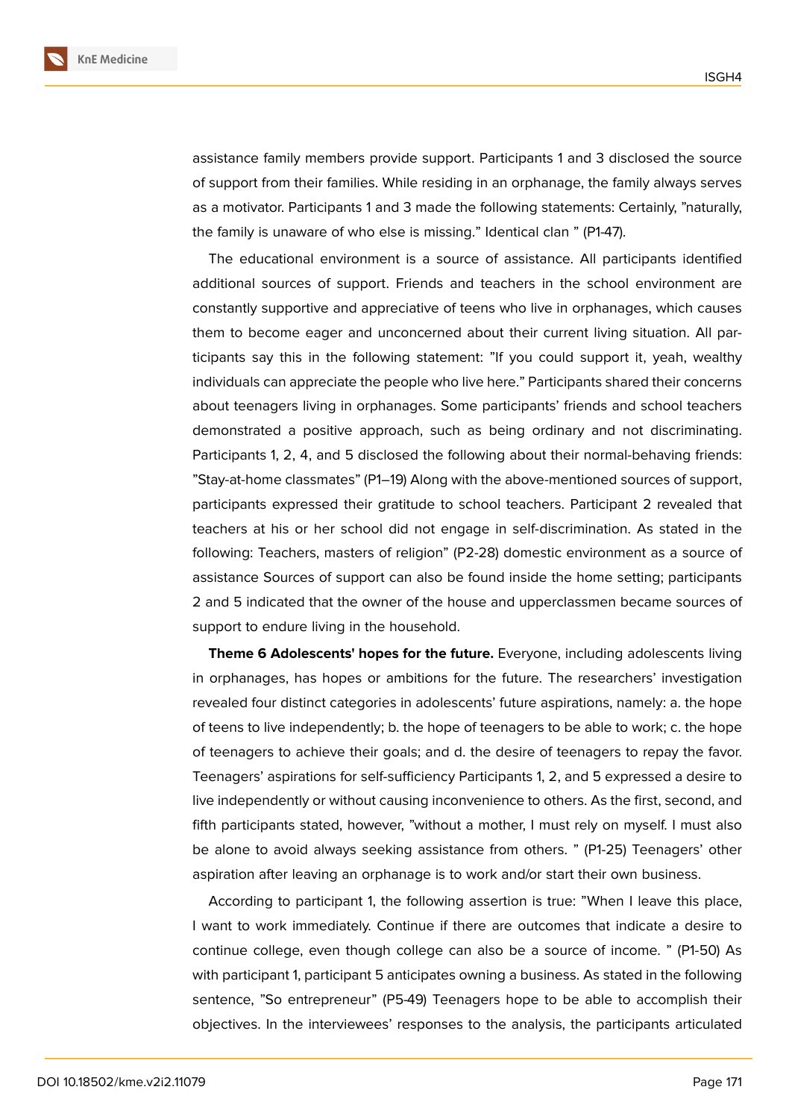

assistance family members provide support. Participants 1 and 3 disclosed the source of support from their families. While residing in an orphanage, the family always serves as a motivator. Participants 1 and 3 made the following statements: Certainly, "naturally, the family is unaware of who else is missing." Identical clan " (P1-47).

The educational environment is a source of assistance. All participants identified additional sources of support. Friends and teachers in the school environment are constantly supportive and appreciative of teens who live in orphanages, which causes them to become eager and unconcerned about their current living situation. All participants say this in the following statement: "If you could support it, yeah, wealthy individuals can appreciate the people who live here." Participants shared their concerns about teenagers living in orphanages. Some participants' friends and school teachers demonstrated a positive approach, such as being ordinary and not discriminating. Participants 1, 2, 4, and 5 disclosed the following about their normal-behaving friends: "Stay-at-home classmates" (P1–19) Along with the above-mentioned sources of support, participants expressed their gratitude to school teachers. Participant 2 revealed that teachers at his or her school did not engage in self-discrimination. As stated in the following: Teachers, masters of religion" (P2-28) domestic environment as a source of assistance Sources of support can also be found inside the home setting; participants 2 and 5 indicated that the owner of the house and upperclassmen became sources of support to endure living in the household.

**Theme 6 Adolescents' hopes for the future.** Everyone, including adolescents living in orphanages, has hopes or ambitions for the future. The researchers' investigation revealed four distinct categories in adolescents' future aspirations, namely: a. the hope of teens to live independently; b. the hope of teenagers to be able to work; c. the hope of teenagers to achieve their goals; and d. the desire of teenagers to repay the favor. Teenagers' aspirations for self-sufficiency Participants 1, 2, and 5 expressed a desire to live independently or without causing inconvenience to others. As the first, second, and fifth participants stated, however, "without a mother, I must rely on myself. I must also be alone to avoid always seeking assistance from others. " (P1-25) Teenagers' other aspiration after leaving an orphanage is to work and/or start their own business.

According to participant 1, the following assertion is true: "When I leave this place, I want to work immediately. Continue if there are outcomes that indicate a desire to continue college, even though college can also be a source of income. " (P1-50) As with participant 1, participant 5 anticipates owning a business. As stated in the following sentence, "So entrepreneur" (P5-49) Teenagers hope to be able to accomplish their objectives. In the interviewees' responses to the analysis, the participants articulated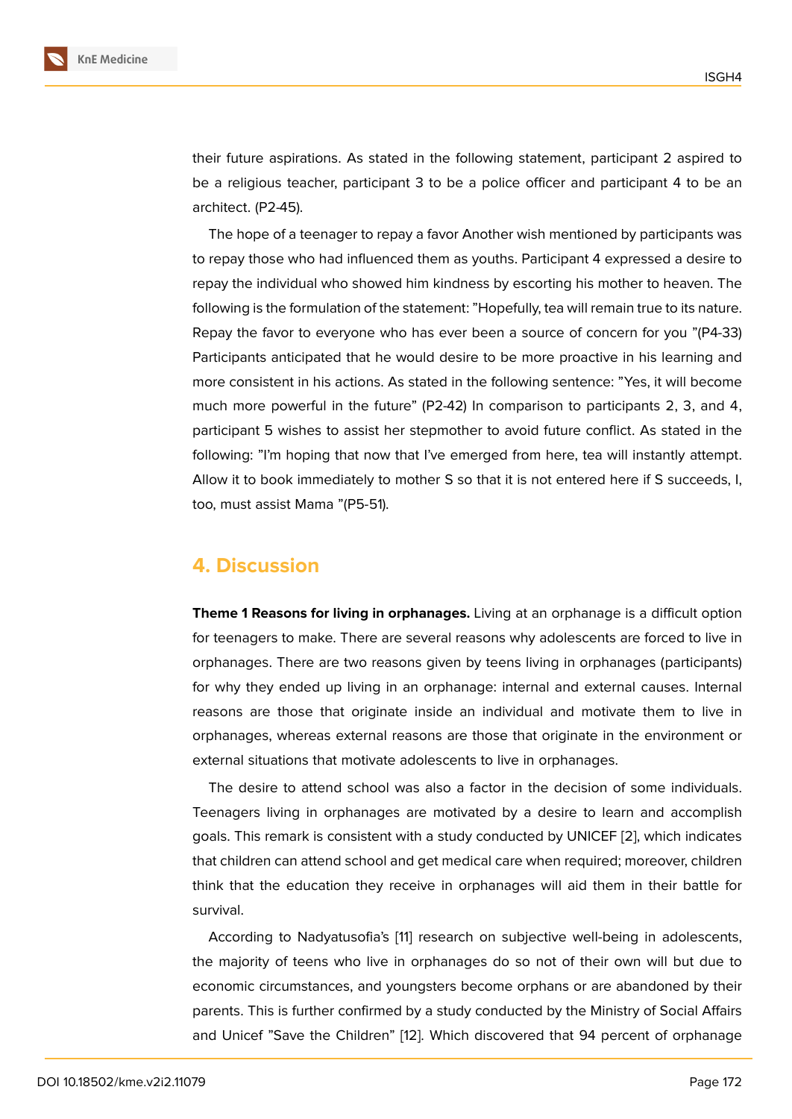their future aspirations. As stated in the following statement, participant 2 aspired to be a religious teacher, participant 3 to be a police officer and participant 4 to be an architect. (P2-45).

The hope of a teenager to repay a favor Another wish mentioned by participants was to repay those who had influenced them as youths. Participant 4 expressed a desire to repay the individual who showed him kindness by escorting his mother to heaven. The following is the formulation of the statement: "Hopefully, tea will remain true to its nature. Repay the favor to everyone who has ever been a source of concern for you "(P4-33) Participants anticipated that he would desire to be more proactive in his learning and more consistent in his actions. As stated in the following sentence: "Yes, it will become much more powerful in the future" (P2-42) In comparison to participants 2, 3, and 4, participant 5 wishes to assist her stepmother to avoid future conflict. As stated in the following: "I'm hoping that now that I've emerged from here, tea will instantly attempt. Allow it to book immediately to mother S so that it is not entered here if S succeeds, I, too, must assist Mama "(P5-51).

## **4. Discussion**

**Theme 1 Reasons for living in orphanages.** Living at an orphanage is a difficult option for teenagers to make. There are several reasons why adolescents are forced to live in orphanages. There are two reasons given by teens living in orphanages (participants) for why they ended up living in an orphanage: internal and external causes. Internal reasons are those that originate inside an individual and motivate them to live in orphanages, whereas external reasons are those that originate in the environment or external situations that motivate adolescents to live in orphanages.

The desire to attend school was also a factor in the decision of some individuals. Teenagers living in orphanages are motivated by a desire to learn and accomplish goals. This remark is consistent with a study conducted by UNICEF [2], which indicates that children can attend school and get medical care when required; moreover, children think that the education they receive in orphanages will aid them in their battle for survival.

According to Nadyatusofia's [11] research on subjective well-being in adolescents, the majority of teens who live in orphanages do so not of their own will but due to economic circumstances, and youngsters become orphans or are abandoned by their parents. This is further confirme[d b](#page-16-9)y a study conducted by the Ministry of Social Affairs and Unicef "Save the Children" [12]. Which discovered that 94 percent of orphanage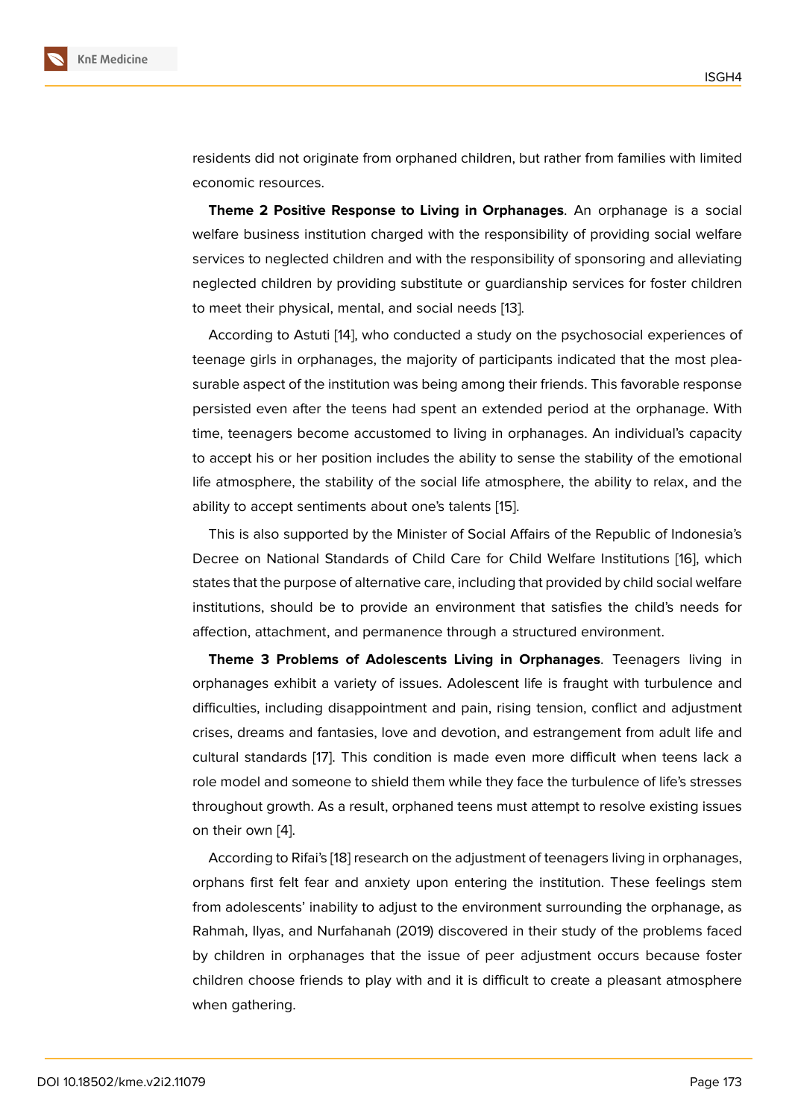residents did not originate from orphaned children, but rather from families with limited economic resources.

**Theme 2 Positive Response to Living in Orphanages**. An orphanage is a social welfare business institution charged with the responsibility of providing social welfare services to neglected children and with the responsibility of sponsoring and alleviating neglected children by providing substitute or guardianship services for foster children to meet their physical, mental, and social needs [13].

According to Astuti [14], who conducted a study on the psychosocial experiences of teenage girls in orphanages, the majority of participants indicated that the most pleasurable aspect of the institution was being amon[g th](#page-17-0)eir friends. This favorable response persisted even after t[he](#page-17-1) teens had spent an extended period at the orphanage. With time, teenagers become accustomed to living in orphanages. An individual's capacity to accept his or her position includes the ability to sense the stability of the emotional life atmosphere, the stability of the social life atmosphere, the ability to relax, and the ability to accept sentiments about one's talents [15].

This is also supported by the Minister of Social Affairs of the Republic of Indonesia's Decree on National Standards of Child Care for Child Welfare Institutions [16], which states that the purpose of alternative care, includ[ing](#page-17-2) that provided by child social welfare institutions, should be to provide an environment that satisfies the child's needs for affection, attachment, and permanence through a structured environment.

**Theme 3 Problems of Adolescents Living in Orphanages**. Teenagers living in orphanages exhibit a variety of issues. Adolescent life is fraught with turbulence and difficulties, including disappointment and pain, rising tension, conflict and adjustment crises, dreams and fantasies, love and devotion, and estrangement from adult life and cultural standards [17]. This condition is made even more difficult when teens lack a role model and someone to shield them while they face the turbulence of life's stresses throughout growth. As a result, orphaned teens must attempt to resolve existing issues on their own [4].

According to Rifai's [18] research on the adjustment of teenagers living in orphanages, orphans first felt fear and anxiety upon entering the institution. These feelings stem from adolesc[en](#page-16-3)ts' inability to adjust to the environment surrounding the orphanage, as Rahmah, Ilyas, and N[urfa](#page-17-3)hanah (2019) discovered in their study of the problems faced by children in orphanages that the issue of peer adjustment occurs because foster children choose friends to play with and it is difficult to create a pleasant atmosphere when gathering.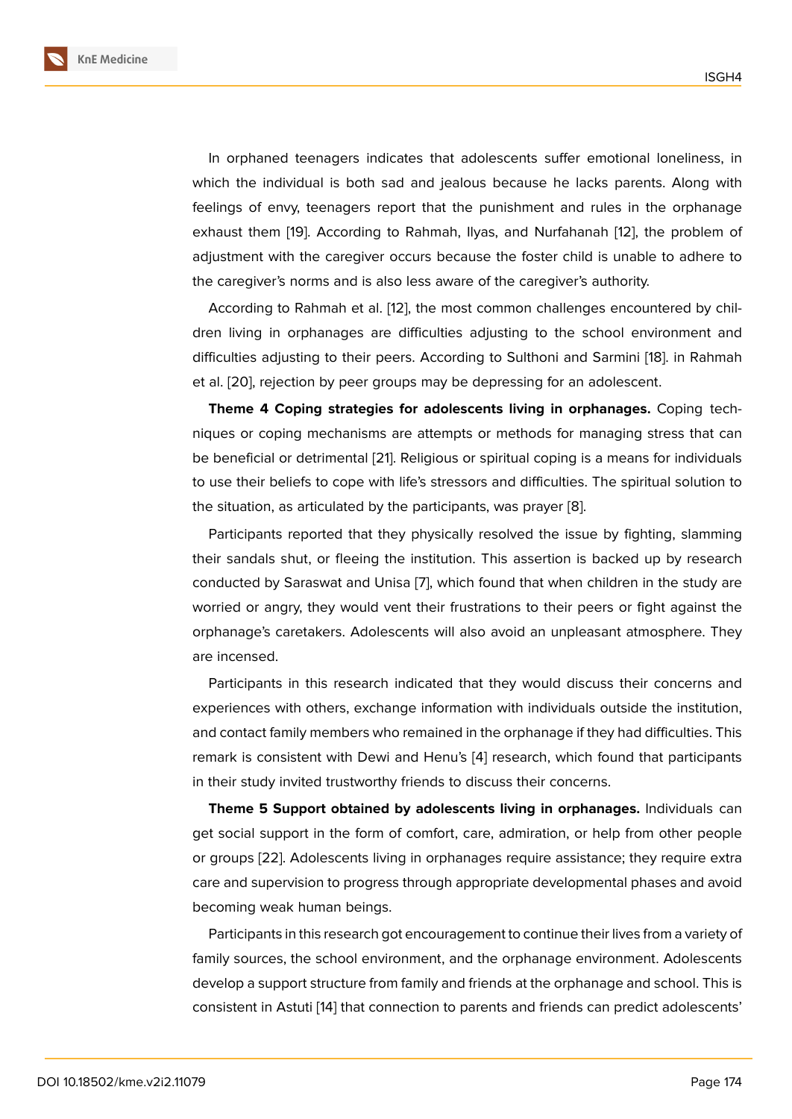In orphaned teenagers indicates that adolescents suffer emotional loneliness, in which the individual is both sad and jealous because he lacks parents. Along with feelings of envy, teenagers report that the punishment and rules in the orphanage exhaust them [19]. According to Rahmah, Ilyas, and Nurfahanah [12], the problem of adjustment with the caregiver occurs because the foster child is unable to adhere to the caregiver's norms and is also less aware of the caregiver's authority.

According t[o Ra](#page-17-4)hmah et al. [12], the most common challenges [enc](#page-17-5)ountered by children living in orphanages are difficulties adjusting to the school environment and difficulties adjusting to their peers. According to Sulthoni and Sarmini [18]. in Rahmah et al. [20], rejection by peer gr[oup](#page-17-5)s may be depressing for an adolescent.

**Theme 4 Coping strategies for adolescents living in orphanages.** Coping techniques or coping mechanisms are attempts or methods for managing [str](#page-17-3)ess that can be be[nef](#page-17-6)icial or detrimental [21]. Religious or spiritual coping is a means for individuals to use their beliefs to cope with life's stressors and difficulties. The spiritual solution to the situation, as articulated by the participants, was prayer [8].

Participants reported that [th](#page-17-7)ey physically resolved the issue by fighting, slamming their sandals shut, or fleeing the institution. This assertion is backed up by research conducted by Saraswat and Unisa [7], which found that wh[en](#page-16-7) children in the study are worried or angry, they would vent their frustrations to their peers or fight against the orphanage's caretakers. Adolescents will also avoid an unpleasant atmosphere. They are incensed.

Participants in this research indicated that they would discuss their concerns and experiences with others, exchange information with individuals outside the institution, and contact family members who remained in the orphanage if they had difficulties. This remark is consistent with Dewi and Henu's [4] research, which found that participants in their study invited trustworthy friends to discuss their concerns.

**Theme 5 Support obtained by adolescents living in orphanages.** Individuals can get social support in the form of comfort, c[are](#page-16-3), admiration, or help from other people or groups [22]. Adolescents living in orphanages require assistance; they require extra care and supervision to progress through appropriate developmental phases and avoid becoming weak human beings.

Particip[ants](#page-17-8) in this research got encouragement to continue their lives from a variety of family sources, the school environment, and the orphanage environment. Adolescents develop a support structure from family and friends at the orphanage and school. This is consistent in Astuti [14] that connection to parents and friends can predict adolescents'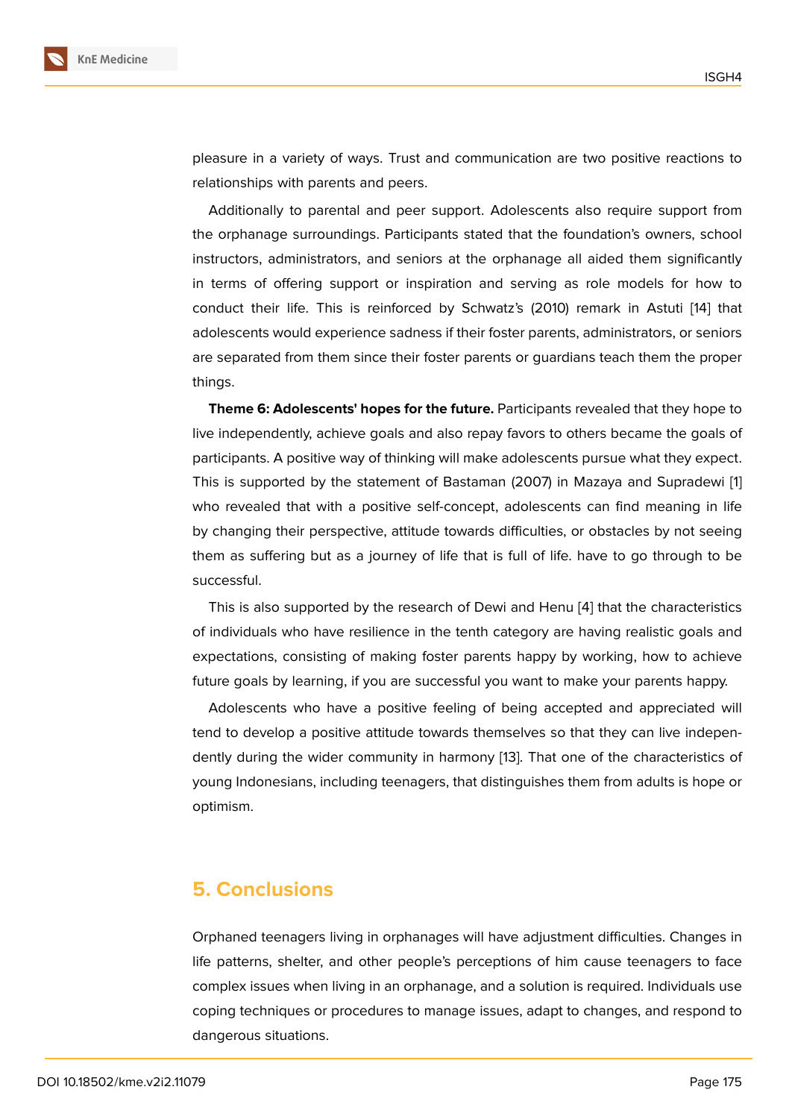pleasure in a variety of ways. Trust and communication are two positive reactions to relationships with parents and peers.

Additionally to parental and peer support. Adolescents also require support from the orphanage surroundings. Participants stated that the foundation's owners, school instructors, administrators, and seniors at the orphanage all aided them significantly in terms of offering support or inspiration and serving as role models for how to conduct their life. This is reinforced by Schwatz's (2010) remark in Astuti [14] that adolescents would experience sadness if their foster parents, administrators, or seniors are separated from them since their foster parents or guardians teach them the proper things.

**Theme 6: Adolescents' hopes for the future.** Participants revealed that they hope to live independently, achieve goals and also repay favors to others became the goals of participants. A positive way of thinking will make adolescents pursue what they expect. This is supported by the statement of Bastaman (2007) in Mazaya and Supradewi [1] who revealed that with a positive self-concept, adolescents can find meaning in life by changing their perspective, attitude towards difficulties, or obstacles by not seeing them as suffering but as a journey of life that is full of life. have to go through to [be](#page-16-0) successful.

This is also supported by the research of Dewi and Henu [4] that the characteristics of individuals who have resilience in the tenth category are having realistic goals and expectations, consisting of making foster parents happy by working, how to achieve future goals by learning, if you are successful you want to m[ak](#page-16-3)e your parents happy.

Adolescents who have a positive feeling of being accepted and appreciated will tend to develop a positive attitude towards themselves so that they can live independently during the wider community in harmony [13]. That one of the characteristics of young Indonesians, including teenagers, that distinguishes them from adults is hope or optimism.

## **5. Conclusions**

Orphaned teenagers living in orphanages will have adjustment difficulties. Changes in life patterns, shelter, and other people's perceptions of him cause teenagers to face complex issues when living in an orphanage, and a solution is required. Individuals use coping techniques or procedures to manage issues, adapt to changes, and respond to dangerous situations.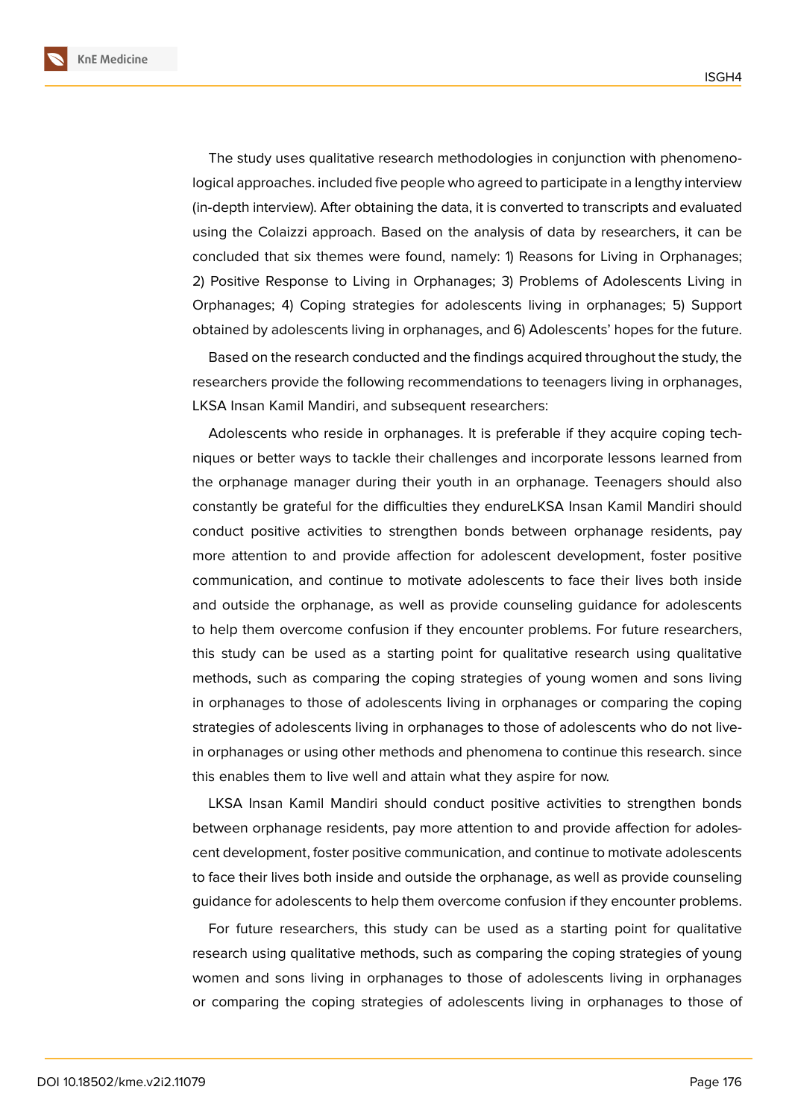**KnE Medicine**



The study uses qualitative research methodologies in conjunction with phenomenological approaches. included five people who agreed to participate in a lengthy interview (in-depth interview). After obtaining the data, it is converted to transcripts and evaluated using the Colaizzi approach. Based on the analysis of data by researchers, it can be concluded that six themes were found, namely: 1) Reasons for Living in Orphanages; 2) Positive Response to Living in Orphanages; 3) Problems of Adolescents Living in Orphanages; 4) Coping strategies for adolescents living in orphanages; 5) Support obtained by adolescents living in orphanages, and 6) Adolescents' hopes for the future.

Based on the research conducted and the findings acquired throughout the study, the researchers provide the following recommendations to teenagers living in orphanages, LKSA Insan Kamil Mandiri, and subsequent researchers:

Adolescents who reside in orphanages. It is preferable if they acquire coping techniques or better ways to tackle their challenges and incorporate lessons learned from the orphanage manager during their youth in an orphanage. Teenagers should also constantly be grateful for the difficulties they endureLKSA Insan Kamil Mandiri should conduct positive activities to strengthen bonds between orphanage residents, pay more attention to and provide affection for adolescent development, foster positive communication, and continue to motivate adolescents to face their lives both inside and outside the orphanage, as well as provide counseling guidance for adolescents to help them overcome confusion if they encounter problems. For future researchers, this study can be used as a starting point for qualitative research using qualitative methods, such as comparing the coping strategies of young women and sons living in orphanages to those of adolescents living in orphanages or comparing the coping strategies of adolescents living in orphanages to those of adolescents who do not livein orphanages or using other methods and phenomena to continue this research. since this enables them to live well and attain what they aspire for now.

LKSA Insan Kamil Mandiri should conduct positive activities to strengthen bonds between orphanage residents, pay more attention to and provide affection for adolescent development, foster positive communication, and continue to motivate adolescents to face their lives both inside and outside the orphanage, as well as provide counseling guidance for adolescents to help them overcome confusion if they encounter problems.

For future researchers, this study can be used as a starting point for qualitative research using qualitative methods, such as comparing the coping strategies of young women and sons living in orphanages to those of adolescents living in orphanages or comparing the coping strategies of adolescents living in orphanages to those of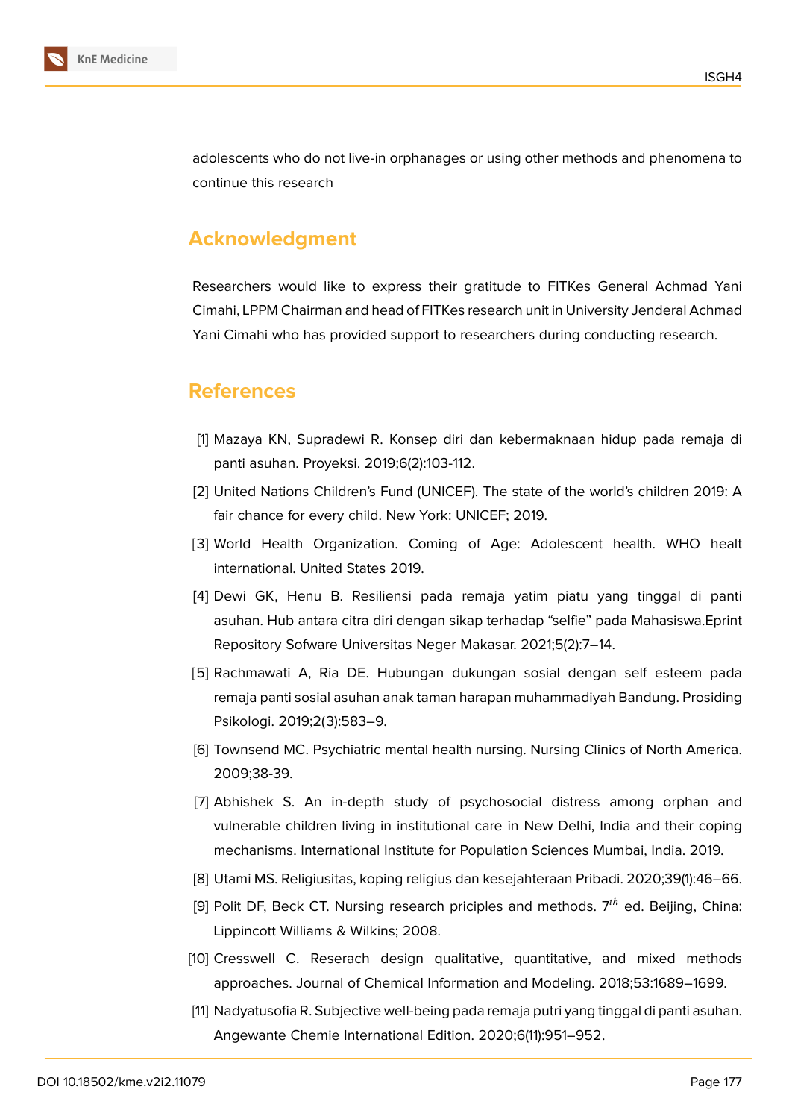

adolescents who do not live-in orphanages or using other methods and phenomena to continue this research

## **Acknowledgment**

Researchers would like to express their gratitude to FITKes General Achmad Yani Cimahi, LPPM Chairman and head of FITKes research unit in University Jenderal Achmad Yani Cimahi who has provided support to researchers during conducting research.

## **References**

- <span id="page-16-0"></span>[1] Mazaya KN, Supradewi R. Konsep diri dan kebermaknaan hidup pada remaja di panti asuhan. Proyeksi. 2019;6(2):103-112.
- <span id="page-16-1"></span>[2] United Nations Children's Fund (UNICEF). The state of the world's children 2019: A fair chance for every child. New York: UNICEF; 2019.
- <span id="page-16-2"></span>[3] World Health Organization. Coming of Age: Adolescent health. WHO healt international. United States 2019.
- <span id="page-16-3"></span>[4] Dewi GK, Henu B. Resiliensi pada remaja yatim piatu yang tinggal di panti asuhan. Hub antara citra diri dengan sikap terhadap "selfie" pada Mahasiswa.Eprint Repository Sofware Universitas Neger Makasar. 2021;5(2):7–14.
- <span id="page-16-4"></span>[5] Rachmawati A, Ria DE. Hubungan dukungan sosial dengan self esteem pada remaja panti sosial asuhan anak taman harapan muhammadiyah Bandung. Prosiding Psikologi. 2019;2(3):583–9.
- <span id="page-16-5"></span>[6] Townsend MC. Psychiatric mental health nursing. Nursing Clinics of North America. 2009;38-39.
- <span id="page-16-6"></span>[7] Abhishek S. An in-depth study of psychosocial distress among orphan and vulnerable children living in institutional care in New Delhi, India and their coping mechanisms. International Institute for Population Sciences Mumbai, India. 2019.
- <span id="page-16-7"></span>[8] Utami MS. Religiusitas, koping religius dan kesejahteraan Pribadi. 2020;39(1):46–66.
- [9] Polit DF, Beck CT. Nursing research priciples and methods.  $7<sup>th</sup>$  ed. Beijing, China: Lippincott Williams & Wilkins; 2008.
- <span id="page-16-8"></span>[10] Cresswell C. Reserach design qualitative, quantitative, and mixed methods approaches. Journal of Chemical Information and Modeling. 2018;53:1689–1699.
- <span id="page-16-9"></span>[11] Nadyatusofia R. Subjective well-being pada remaja putri yang tinggal di panti asuhan. Angewante Chemie International Edition. 2020;6(11):951–952.